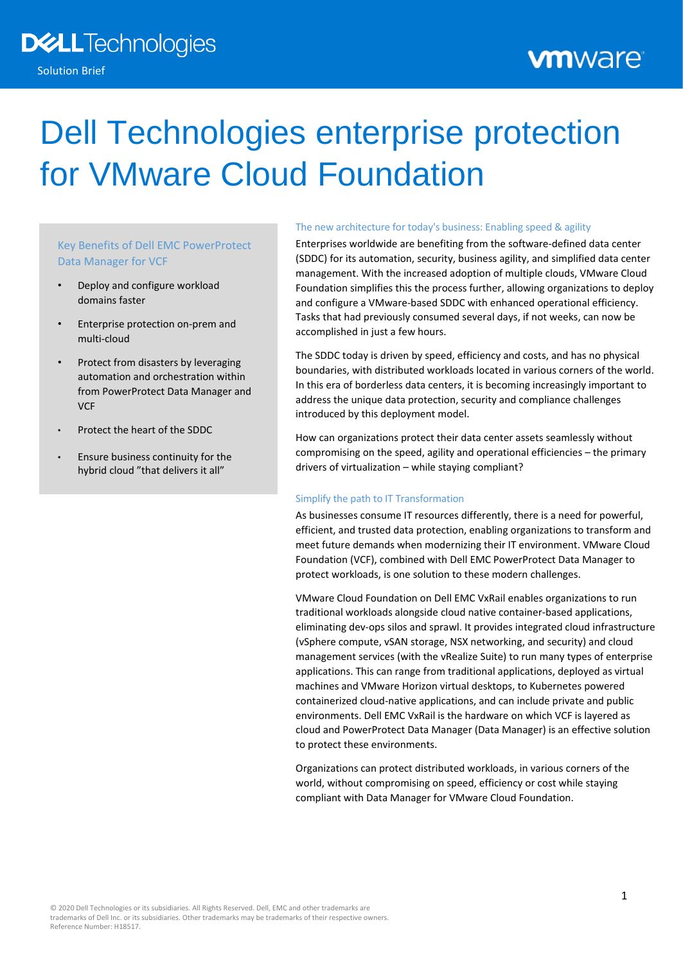# Dell Technologies enterprise protection for VMware Cloud Foundation

# Key Benefits of Dell EMC PowerProtect Data Manager for VCF

- Deploy and configure workload domains faster
- Enterprise protection on-prem and multi-cloud
- Protect from disasters by leveraging automation and orchestration within from PowerProtect Data Manager and **VCF**
- Protect the heart of the SDDC
- Ensure business continuity for the hybrid cloud "that delivers it all"

#### The new architecture for today's business: Enabling speed & agility

Enterprises worldwide are benefiting from the software-defined data center (SDDC) for its automation, security, business agility, and simplified data center management. With the increased adoption of multiple clouds, VMware Cloud Foundation simplifies this the process further, allowing organizations to deploy and configure a VMware-based SDDC with enhanced operational efficiency. Tasks that had previously consumed several days, if not weeks, can now be accomplished in just a few hours.

The SDDC today is driven by speed, efficiency and costs, and has no physical boundaries, with distributed workloads located in various corners of the world. In this era of borderless data centers, it is becoming increasingly important to address the unique data protection, security and compliance challenges introduced by this deployment model.

How can organizations protect their data center assets seamlessly without compromising on the speed, agility and operational efficiencies – the primary drivers of virtualization – while staying compliant?

#### Simplify the path to IT Transformation

As businesses consume IT resources differently, there is a need for powerful, efficient, and trusted data protection, enabling organizations to transform and meet future demands when modernizing their IT environment. VMware Cloud Foundation (VCF), combined with Dell EMC PowerProtect Data Manager to protect workloads, is one solution to these modern challenges.

VMware Cloud Foundation on Dell EMC VxRail enables organizations to run traditional workloads alongside cloud native container-based applications, eliminating dev-ops silos and sprawl. It provides integrated cloud infrastructure (vSphere compute, vSAN storage, NSX networking, and security) and cloud management services (with the vRealize Suite) to run many types of enterprise applications. This can range from traditional applications, deployed as virtual machines and VMware Horizon virtual desktops, to Kubernetes powered containerized cloud-native applications, and can include private and public environments. Dell EMC VxRail is the hardware on which VCF is layered as cloud and PowerProtect Data Manager (Data Manager) is an effective solution to protect these environments.

Organizations can protect distributed workloads, in various corners of the world, without compromising on speed, efficiency or cost while staying compliant with Data Manager for VMware Cloud Foundation.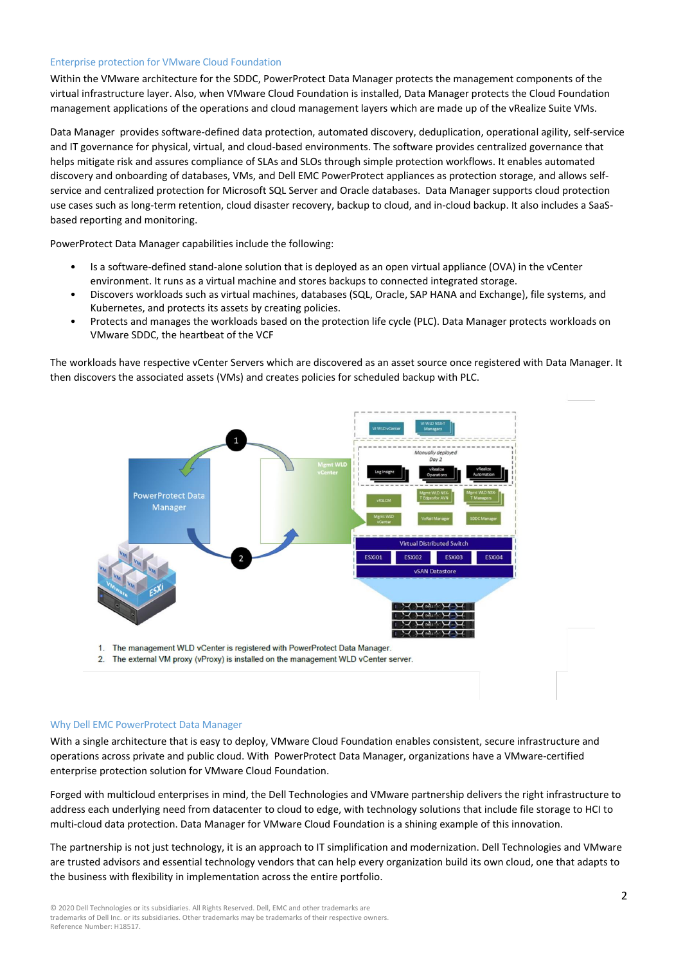#### Enterprise protection for VMware Cloud Foundation

Within the VMware architecture for the SDDC, PowerProtect Data Manager protects the management components of the virtual infrastructure layer. Also, when VMware Cloud Foundation is installed, Data Manager protects the Cloud Foundation management applications of the operations and cloud management layers which are made up of the vRealize Suite VMs.

Data Manager provides software-defined data protection, automated discovery, deduplication, operational agility, self-service and IT governance for physical, virtual, and cloud-based environments. The software provides centralized governance that helps mitigate risk and assures compliance of SLAs and SLOs through simple protection workflows. It enables automated discovery and onboarding of databases, VMs, and Dell EMC PowerProtect appliances as protection storage, and allows selfservice and centralized protection for Microsoft SQL Server and Oracle databases. Data Manager supports cloud protection use cases such as long-term retention, cloud disaster recovery, backup to cloud, and in-cloud backup. It also includes a SaaSbased reporting and monitoring.

PowerProtect Data Manager capabilities include the following:

- Is a software-defined stand-alone solution that is deployed as an open virtual appliance (OVA) in the vCenter environment. It runs as a virtual machine and stores backups to connected integrated storage.
- Discovers workloads such as virtual machines, databases (SQL, Oracle, SAP HANA and Exchange), file systems, and Kubernetes, and protects its assets by creating policies.
- Protects and manages the workloads based on the protection life cycle (PLC). Data Manager protects workloads on VMware SDDC, the heartbeat of the VCF

The workloads have respective vCenter Servers which are discovered as an asset source once registered with Data Manager. It then discovers the associated assets (VMs) and creates policies for scheduled backup with PLC.



1. The management WLD vCenter is registered with PowerProtect Data Manager.

The external VM proxy (vProxy) is installed on the management WLD vCenter server.  $2.$ 

#### Why Dell EMC PowerProtect Data Manager

With a single architecture that is easy to deploy, VMware Cloud Foundation enables consistent, secure infrastructure and operations across private and public cloud. With PowerProtect Data Manager, organizations have a VMware-certified enterprise protection solution for VMware Cloud Foundation.

Forged with multicloud enterprises in mind, the Dell Technologies and VMware partnership delivers the right infrastructure to address each underlying need from datacenter to cloud to edge, with technology solutions that include file storage to HCI to multi-cloud data protection. Data Manager for VMware Cloud Foundation is a shining example of this innovation.

The partnership is not just technology, it is an approach to IT simplification and modernization. Dell Technologies and VMware are trusted advisors and essential technology vendors that can help every organization build its own cloud, one that adapts to the business with flexibility in implementation across the entire portfolio.